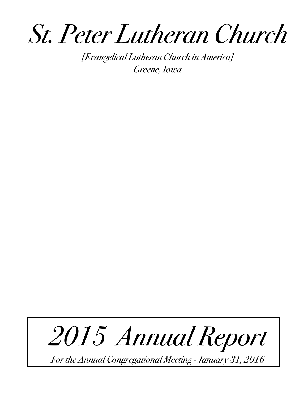*St. Peter Lutheran Church*

*[Evangelical Lutheran Church in America] Greene, Iowa* 

# *2015 Annual Report*

*For the Annual Congregational Meeting - January 31, 2016*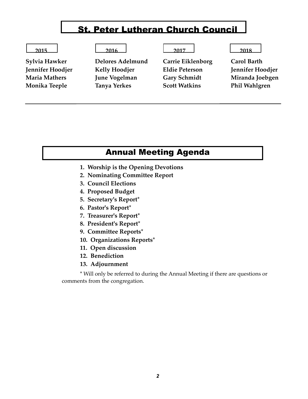# St. Peter Lutheran Church Council

**Sylvia Hawker Delores Adelmund Carrie Eiklenborg Carol Barth Jennifer Hoodjer Kelly Hoodjer Eldie Peterson Jennifer Hoodjer Maria Mathers June Vogelman Gary Schmidt Miranda Joebgen Monika Teeple Tanya Yerkes Scott Watkins Phil Wahlgren**

#### **2015 2016 2017 2018**

#### Annual Meeting Agenda

- **1. Worship is the Opening Devotions**
- **2. Nominating Committee Report**
- **3. Council Elections**
- **4. Proposed Budget**
- **5. Secretary's Report\***
- **6. Pastor's Report\***
- **7. Treasurer's Report\***
- **8. President's Report\***
- **9. Committee Reports\***
- **10. Organizations Reports\***
- **11. Open discussion**
- **12. Benediction**
- **13. Adjournment**

\* Will only be referred to during the Annual Meeting if there are questions or comments from the congregation.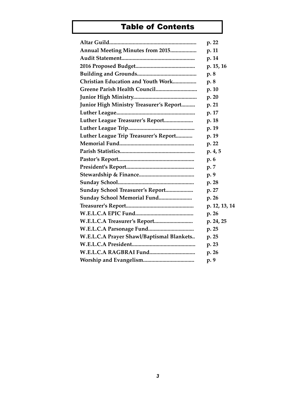### Table of Contents

|                                                | p. 22         |
|------------------------------------------------|---------------|
| Annual Meeting Minutes from 2015               | p. 11         |
|                                                | p. 14         |
|                                                | p. 15, 16     |
|                                                | p. 8          |
| Christian Education and Youth Work             | p.8           |
|                                                | p. 10         |
|                                                | p. 20         |
| <b>Junior High Ministry Treasurer's Report</b> | p. 21         |
|                                                | p. 17         |
| Luther League Treasurer's Report               | p. 18         |
|                                                | p. 19         |
| Luther League Trip Treasurer's Report          | p. 19         |
|                                                | p. 22         |
|                                                | p.4, 5        |
|                                                | p. 6          |
|                                                | p. 7          |
|                                                | p. 9          |
|                                                | p. 28         |
| Sunday School Treasurer's Report               | p. 27         |
| Sunday School Memorial Fund                    | p. 26         |
|                                                | p. 12, 13, 14 |
|                                                | p. 26         |
|                                                | p. 24, 25     |
|                                                | p. 25         |
| W.E.L.C.A Prayer Shawl/Baptismal Blankets      | p. 25         |
|                                                | p. 23         |
|                                                | p. 26         |
|                                                | p. 9          |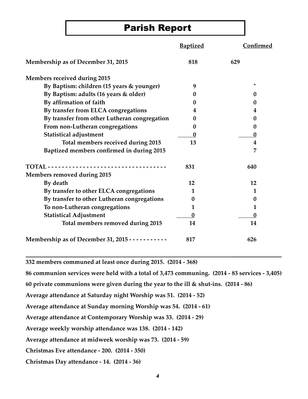# Parish Report

|                                                          | <b>Baptized</b> | Confirmed    |
|----------------------------------------------------------|-----------------|--------------|
| Membership as of December 31, 2015                       | 818             | 629          |
| <b>Members received during 2015</b>                      |                 |              |
| By Baptism: children (15 years & younger)                | 9               | $^\star$     |
| By Baptism: adults (16 years & older)                    | $\bf{0}$        | $\mathbf{0}$ |
| By affirmation of faith                                  | 0               | 0            |
| By transfer from ELCA congregations                      | 4               | 4            |
| By transfer from other Lutheran congregation             | 0               | 0            |
| From non-Lutheran congregations                          | 0               | 0            |
| <b>Statistical adjustment</b>                            | 0               | $\bf{0}$     |
| Total members received during 2015                       | 13              | 4            |
| Baptized members confirmed in during 2015                |                 | 7            |
|                                                          | 831             | 640          |
| Members removed during 2015                              |                 |              |
| By death                                                 | 12              | 12           |
| By transfer to other ELCA congregations                  | 1               | 1            |
| By transfer to other Lutheran congregations              | 0               | 0            |
| To non-Lutheran congregations                            | 1               | 1            |
| <b>Statistical Adjustment</b>                            | $\bf{0}$        | $\bf{0}$     |
| Total members removed during 2015                        | 14              | 14           |
| Membership as of December 31, 2015 - - - - - - - - - - - | 817             | 626          |

**332 members communed at least once during 2015. (2014 - 368)**

**86 communion services were held with a total of 3,473 communing. (2014 - 83 services - 3,405)**

**60 private communions were given during the year to the ill & shut-ins. (2014 - 86)**

**Average attendance at Saturday night Worship was 51. (2014 - 52)**

**Average attendance at Sunday morning Worship was 54. (2014 - 61)**

**Average attendance at Contemporary Worship was 33. (2014 - 29)**

**Average weekly worship attendance was 138. (2014 - 142)** 

**Average attendance at midweek worship was 73. (2014 - 59)**

**Christmas Eve attendance - 200. (2014 - 350)**

**Christmas Day attendance - 14. (2014 - 36)**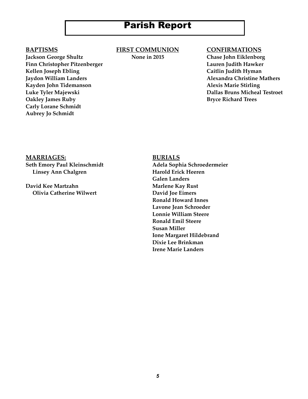# Parish Report

**Jackson George Shultz None in 2015 Chase John Eiklenborg Finn Christopher Pitzenberger Lauren Judith Hawker** Kellen Joseph Ebling **Caitlin Judith Hyman Jaydon William Landers Alexandra Christine Mathers** Kayden John Tidemanson **Alexis Marie Stirling Oakley James Ruby**  Bryce Richard Trees **Carly Lorane Schmidt Aubrey Jo Schmidt**

**BAPTISMS FIRST COMMUNION CONFIRMATIONS**

**Luke Tyler Majewski Dallas Bruns Micheal Testroet**

**MARRIAGES: BURIALS**

**Linsey Ann Chalgren Harold Erick Heeren** 

**David Kee Martzahn Marlene Kay Rust Olivia Catherine Wilwert Change Constraints David Joe Eimers** 

**Seth Emory Paul Kleinschmidt Adela Sophia Schroedermeier Galen Landers Ronald Howard Innes Lavone Jean Schroeder Lonnie William Steere Ronald Emil Steere Susan Miller Ione Margaret Hildebrand Dixie Lee Brinkman Irene Marie Landers**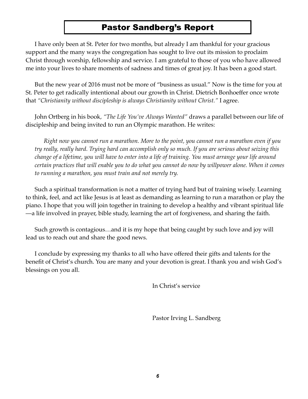### Pastor Sandberg's Report

I have only been at St. Peter for two months, but already I am thankful for your gracious support and the many ways the congregation has sought to live out its mission to proclaim Christ through worship, fellowship and service. I am grateful to those of you who have allowed me into your lives to share moments of sadness and times of great joy. It has been a good start.

But the new year of 2016 must not be more of "business as usual." Now is the time for you at St. Peter to get radically intentional about our growth in Christ. Dietrich Bonhoeffer once wrote that *"Christianity without discipleship is always Christianity without Christ."* I agree.

John Ortberg in his book*, "The Life You've Always Wanted"* draws a parallel between our life of discipleship and being invited to run an Olympic marathon. He writes:

*Right now you cannot run a marathon. More to the point, you cannot run a marathon even if you try really, really hard. Trying hard can accomplish only so much. If you are serious about seizing this change of a lifetime, you will have to enter into a life of training. You must arrange your life around certain practices that will enable you to do what you cannot do now by willpower alone. When it comes to running a marathon, you must train and not merely try.*

Such a spiritual transformation is not a matter of trying hard but of training wisely. Learning to think, feel, and act like Jesus is at least as demanding as learning to run a marathon or play the piano. I hope that you will join together in training to develop a healthy and vibrant spiritual life —a life involved in prayer, bible study, learning the art of forgiveness, and sharing the faith.

Such growth is contagious…and it is my hope that being caught by such love and joy will lead us to reach out and share the good news.

I conclude by expressing my thanks to all who have offered their gifts and talents for the benefit of Christ's church. You are many and your devotion is great. I thank you and wish God's blessings on you all.

In Christ's service

Pastor Irving L. Sandberg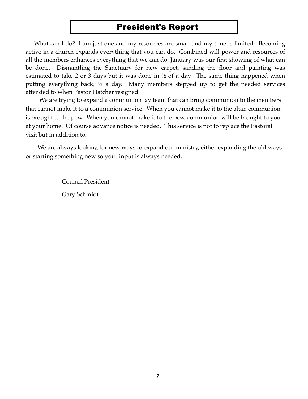# President's Report

What can I do? I am just one and my resources are small and my time is limited. Becoming active in a church expands everything that you can do. Combined will power and resources of all the members enhances everything that we can do. January was our first showing of what can be done. Dismantling the Sanctuary for new carpet, sanding the floor and painting was estimated to take 2 or 3 days but it was done in ½ of a day. The same thing happened when putting everything back, ½ a day. Many members stepped up to get the needed services attended to when Pastor Hatcher resigned.

 We are trying to expand a communion lay team that can bring communion to the members that cannot make it to a communion service. When you cannot make it to the altar, communion is brought to the pew. When you cannot make it to the pew, communion will be brought to you at your home. Of course advance notice is needed. This service is not to replace the Pastoral visit but in addition to.

 We are always looking for new ways to expand our ministry, either expanding the old ways or starting something new so your input is always needed.

> Council President Gary Schmidt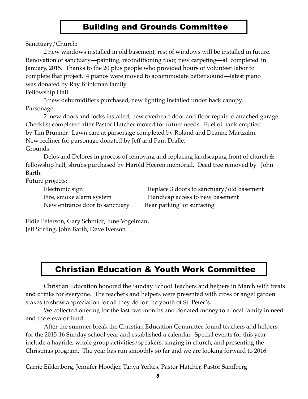### Building and Grounds Committee

Sanctuary/Church:

2 new windows installed in old basement, rest of windows will be installed in future. Renovation of sanctuary—painting, reconditioning floor, new carpeting—all completed in January, 2015. Thanks to the 20 plus people who provided hours of volunteer labor to complete that project. 4 pianos were moved to accommodate better sound—latest piano was donated by Ray Brinkman family.

Fellowship Hall:

3 new dehumidifiers purchased, new lighting installed under back canopy. Parsonage:

2 new doors and locks installed, new overhead door and floor repair to attached garage. Checklist completed after Pastor Hatcher moved for future needs. Fuel oil tank emptied by Tim Brunner. Lawn care at parsonage completed by Roland and Deanne Martzahn. New recliner for parsonage donated by Jeff and Pam Dralle. Grounds:

Delos and Delores in process of removing and replacing landscaping front of church & fellowship hall, shrubs purchased by Harold Heeren memorial. Dead tree removed by John Barth.

Future projects:

New entrance door to sanctuary Rear parking lot surfacing

Electronic sign **Electronic sign** Replace 3 doors to sanctuary/old basement Fire, smoke alarm system **IF** Handicap access to new basement

Eldie Peterson, Gary Schmidt, June Vogelman, Jeff Stirling, John Barth, Dave Iverson

# Christian Education & Youth Work Committee

Christian Education honored the Sunday School Teachers and helpers in March with treats and drinks for everyone. The teachers and helpers were presented with cross or angel garden stakes to show appreciation for all they do for the youth of St. Peter's.

We collected offering for the last two months and donated money to a local family in need and the elevator fund.

After the summer break the Christian Education Committee found teachers and helpers for the 2015-16 Sunday school year and established a calendar. Special events for this year include a hayride, whole group activities/speakers, singing in church, and presenting the Christmas program. The year has run smoothly so far and we are looking forward to 2016.

Carrie Eiklenborg, Jennifer Hoodjer, Tanya Yerkes, Pastor Hatcher, Pastor Sandberg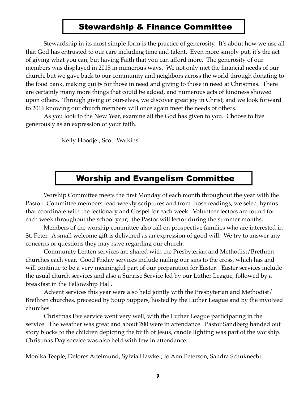#### Stewardship & Finance Committee

Stewardship in its most simple form is the practice of generosity. It's about how we use all that God has entrusted to our care including time and talent. Even more simply put, it's the act of giving what you can, but having Faith that you can afford more. The generosity of our members was displayed in 2015 in numerous ways. We not only met the financial needs of our church, but we gave back to our community and neighbors across the world through donating to the food bank, making quilts for those in need and giving to those in need at Christmas. There are certainly many more things that could be added, and numerous acts of kindness showed upon others. Through giving of ourselves, we discover great joy in Christ, and we look forward to 2016 knowing our church members will once again meet the needs of others.

As you look to the New Year, examine all the God has given to you. Choose to live generously as an expression of your faith.

Kelly Hoodjer, Scott Watkins

#### Worship and Evangelism Committee

Worship Committee meets the first Monday of each month throughout the year with the Pastor. Committee members read weekly scriptures and from those readings, we select hymns that coordinate with the lectionary and Gospel for each week. Volunteer lectors are found for each week throughout the school year; the Pastor will lector during the summer months.

 Members of the worship committee also call on prospective families who are interested in St. Peter. A small welcome gift is delivered as an expression of good will. We try to answer any concerns or questions they may have regarding our church.

 Community Lenten services are shared with the Presbyterian and Methodist/Brethren churches each year. Good Friday services include nailing our sins to the cross, which has and will continue to be a very meaningful part of our preparation for Easter. Easter services include the usual church services and also a Sunrise Service led by our Luther League, followed by a breakfast in the Fellowship Hall.

 Advent services this year were also held jointly with the Presbyterian and Methodist/ Brethren churches, preceded by Soup Suppers, hosted by the Luther League and by the involved churches.

 Christmas Eve service went very well, with the Luther League participating in the service. The weather was great and about 200 were in attendance. Pastor Sandberg handed out story blocks to the children depicting the birth of Jesus, candle lighting was part of the worship. Christmas Day service was also held with few in attendance.

Monika Teeple, Delores Adelmund, Sylvia Hawker, Jo Ann Peterson, Sandra Schuknecht.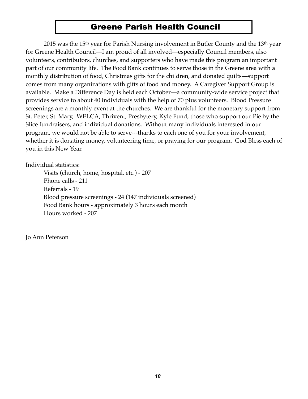#### Greene Parish Health Council

2015 was the 15<sup>th</sup> year for Parish Nursing involvement in Butler County and the 13<sup>th</sup> year for Greene Health Council—I am proud of all involved—especially Council members, also volunteers, contributors, churches, and supporters who have made this program an important part of our community life. The Food Bank continues to serve those in the Greene area with a monthly distribution of food, Christmas gifts for the children, and donated quilts—support comes from many organizations with gifts of food and money. A Caregiver Support Group is available. Make a Difference Day is held each October—a community-wide service project that provides service to about 40 individuals with the help of 70 plus volunteers. Blood Pressure screenings are a monthly event at the churches. We are thankful for the monetary support from St. Peter, St. Mary, WELCA, Thrivent, Presbytery, Kyle Fund, those who support our Pie by the Slice fundraisers, and individual donations. Without many individuals interested in our program, we would not be able to serve---thanks to each one of you for your involvement, whether it is donating money, volunteering time, or praying for our program. God Bless each of you in this New Year.

Individual statistics:

 Visits (church, home, hospital, etc.) - 207 Phone calls - 211 Referrals - 19 Blood pressure screenings - 24 (147 individuals screened) Food Bank hours - approximately 3 hours each month Hours worked - 207

Jo Ann Peterson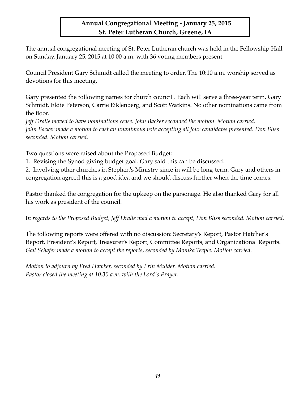#### **Annual Congregational Meeting - January 25, 2015 St. Peter Lutheran Church, Greene, IA**

The annual congregational meeting of St. Peter Lutheran church was held in the Fellowship Hall on Sunday, January 25, 2015 at 10:00 a.m. with 36 voting members present.

Council President Gary Schmidt called the meeting to order. The 10:10 a.m. worship served as devotions for this meeting.

Gary presented the following names for church council . Each will serve a three-year term. Gary Schmidt, Eldie Peterson, Carrie Eiklenberg, and Scott Watkins. No other nominations came from the floor.

*Jeff Dralle moved to have nominations cease. John Backer seconded the motion. Motion carried. John Backer made a motion to cast an unanimous vote accepting all four candidates presented. Don Bliss seconded. Motion carried.*

Two questions were raised about the Proposed Budget:

1. Revising the Synod giving budget goal. Gary said this can be discussed.

2. Involving other churches in Stephen's Ministry since in will be long-term. Gary and others in congregation agreed this is a good idea and we should discuss further when the time comes.

Pastor thanked the congregation for the upkeep on the parsonage. He also thanked Gary for all his work as president of the council.

I*n regards to the Proposed Budget, Jeff Dralle mad a motion to accept, Don Bliss seconded. Motion carried.*

The following reports were offered with no discussion: Secretary's Report, Pastor Hatcher's Report, President's Report, Treasurer's Report, Committee Reports, and Organizational Reports. *Gail Schafer made a motion to accept the reports, seconded by Monika Teeple. Motion carried.*

*Motion to adjourn by Fred Hawker, seconded by Erin Mulder. Motion carried. Pastor closed the meeting at 10:30 a.m. with the Lord's Prayer.*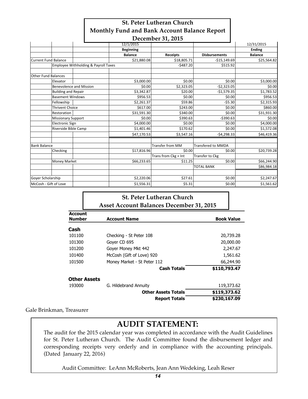| <b>St. Peter Lutheran Church</b>                                             |
|------------------------------------------------------------------------------|
| Monthly Fund and Bank Account Balance Report                                 |
| $\mathbf{D} = \mathbf{1} \cdot \mathbf{A} \cdot \mathbf{A} \cdot \mathbf{A}$ |

|                             |                            |                                      |                  | December 31, 2015       |                           |            |                |
|-----------------------------|----------------------------|--------------------------------------|------------------|-------------------------|---------------------------|------------|----------------|
|                             |                            |                                      | 12/1/2015        |                         |                           |            | 12/31/2015     |
|                             |                            |                                      | <b>Beginning</b> |                         |                           |            | <b>Ending</b>  |
|                             |                            |                                      | <b>Balance</b>   | <b>Receipts</b>         | <b>Disbursements</b>      |            | <b>Balance</b> |
| <b>Current Fund Balance</b> |                            |                                      | \$21,880.08      | \$18,805.71             | $-$15,149.69$             |            | \$25,564.82    |
|                             |                            | Employee Withholding & Payroll Taxes |                  | $-5487.20$              |                           | \$515.92   |                |
| <b>Other Fund Balances</b>  |                            |                                      |                  |                         |                           |            |                |
|                             | Elevator                   |                                      | \$3,000.00       | \$0.00                  |                           | \$0.00     | \$3,000.00     |
|                             |                            | <b>Benevolence and Mission</b>       | \$0.00           | \$2,323.05              | $-52,323.05$              |            | \$0.00         |
|                             | <b>Building and Repair</b> |                                      | \$3,342.87       | \$20.00                 | $-$1,579.35$              |            | \$1,783.52     |
|                             | <b>Basement Windows</b>    |                                      | \$956.53         | \$0.00                  |                           | \$0.00     | \$956.53       |
|                             | Fellowship                 |                                      | \$2,261.37       | \$59.86                 |                           | $-55.30$   | \$2,315.93     |
|                             | <b>Thrivent Choice</b>     |                                      | \$617.00         | \$243.00                |                           | \$0.00     | \$860.00       |
|                             | Restoration                |                                      | \$31,591.30      | \$340.00                |                           | \$0.00     | \$31,931.30    |
|                             | <b>Missionary Support</b>  |                                      | \$0.00           | \$390.63                |                           | $-5390.63$ | \$0.00         |
|                             | <b>Electronic Sign</b>     |                                      | \$4,000.00       | \$0.00                  |                           | \$0.00     | \$4,000.00     |
|                             | Riverside Bible Camp       |                                      | \$1,401.46       | \$170.62                |                           | \$0.00     | \$1,572.08     |
|                             |                            |                                      | \$47,170.53      | \$3,547.16              | $-54,298.33$              |            | \$46,419.36    |
| <b>Bank Balance</b>         |                            |                                      |                  | <b>Transfer from MM</b> | <b>Transfered to MMDA</b> |            |                |
|                             | Checking                   |                                      | \$17,816.96      | \$0.00                  |                           | \$0.00     | \$20,739.28    |
|                             |                            |                                      |                  | Trans from Ckg + Int    | Transfer to Ckg           |            |                |
|                             | <b>Money Market</b>        |                                      | \$66,233.65      | \$11.25                 |                           | \$0.00     | \$66,244.90    |
|                             |                            |                                      |                  |                         | <b>TOTAL BANK</b>         |            | \$86,984.18    |
| Goyer Scholarship           |                            |                                      | \$2,220.06       | \$27.61                 |                           | \$0.00     | \$2,247.67     |
| McCosh - Gift of Love       |                            |                                      | \$1,556.31       | \$5.31                  |                           | \$0.00     | \$1,561.62     |

#### **St. Peter Lutheran Church Asset Account Balances December 31, 2015**

| <b>Account</b>      |                             |                   |
|---------------------|-----------------------------|-------------------|
| <b>Number</b>       | <b>Account Name</b>         | <b>Book Value</b> |
| Cash                |                             |                   |
| 101100              | Checking - St Peter 108     | 20,739.28         |
| 101300              | Gover CD 695                | 20,000.00         |
| 101200              | Goyer Money Mkt 442         | 2,247.67          |
| 101400              | McCosh (Gift of Love) 920   | 1,561.62          |
| 101500              | Money Market - St Peter 112 | 66,244.90         |
|                     | <b>Cash Totals</b>          | \$110,793.47      |
| <b>Other Assets</b> |                             |                   |
| 193000              | G. Hildebrand Annuity       | 119,373.62        |
|                     | <b>Other Assets Totals</b>  | \$119,373.62      |
|                     | <b>Report Totals</b>        | \$230,167.09      |

Gale Brinkman, Treasurer

Report Options

#### **AUDIT STATEMENT:**

The audit for the 2015 calendar year was completed in accordance with the Audit Guidelines for St. Peter Lutheran Church. The Audit Committee found the disbursement ledger and corresponding receipts very orderly and in compliance with the accounting principals. (Dated January 22, 2016)

Audit Committee: LeAnn McRoberts, Jean Ann Wedeking, Leah Reser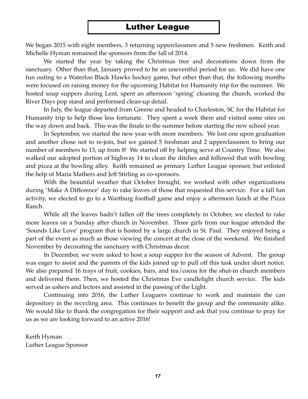#### Luther League

We began 2015 with eight members, 3 returning upperclassmen and 5 new freshmen. Keith and Michelle Hyman remained the sponsors from the fall of 2014.

We started the year by taking the Christmas tree and decorations down from the sanctuary. Other than that, January proved to be an uneventful period for us. We did have one fun outing to a Waterloo Black Hawks hockey game, but other than that, the following months were focused on raising money for the upcoming Habitat for Humanity trip for the summer. We hosted soup suppers during Lent, spent an afternoon 'spring' cleaning the church, worked the River Days pop stand and performed clean-up detail.

In July, the league departed from Greene and headed to Charleston, SC for the Habitat for Humanity trip to help those less fortunate. They spent a week there and visited some sites on the way down and back. This was the finale to the summer before starting the new school year.

In September, we started the new year with more members. We lost one upon graduation and another chose not to re-join, but we gained 5 freshman and 2 upperclassmen to bring our number of members to 13, up from 8! We started off by helping serve at Country Time. We also walked our adopted portion of highway 14 to clean the ditches and followed that with bowling and pizza at the bowling alley. Keith remained as primary Luther League sponsor, but enlisted the help of Maria Mathers and Jeff Stirling as co-sponsors.

With the beautiful weather that October brought, we worked with other organizations during 'Make A Difference' day to rake leaves of those that requested this service. For a fall fun activity, we elected to go to a Wartburg football game and enjoy a afternoon lunch at the Pizza Ranch.

While all the leaves hadn't fallen off the trees completely in October, we elected to rake more leaves on a Sunday after church in November. Three girls from our league attended the 'Sounds Like Love' program that is hosted by a large church in St. Paul. They enjoyed being a part of the event as much as those viewing the concert at the close of the weekend. We finished November by decorating the sanctuary with Christmas decor.

In December, we were asked to host a soup supper for the season of Advent. The group was eager to assist and the parents of the kids joined up to pull off this task under short notice. We also prepared 16 trays of fruit, cookies, bars, and tea/cocoa for the shut-in church members and delivered them. Then, we hosted the Christmas Eve candlelight church service. The kids served as ushers and lectors and assisted in the passing of the Light.

Continuing into 2016, the Luther Leaguers continue to work and maintain the can depository in the recycling area. This continues to benefit the group and the community alike. We would like to thank the congregation for their support and ask that you continue to pray for us as we are looking forward to an active 2016!

Keith Hyman Luther League Sponsor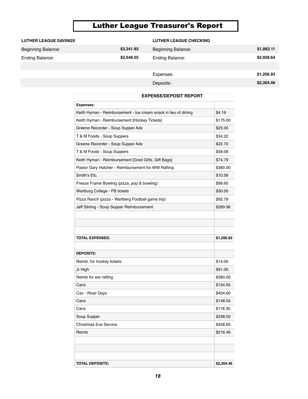# **Luther League Treasurer's Report**

| <b>LUTHER LEAGUE SAVINGS</b> | <b>LUTHER LEAGUE SAVINGS</b>          |            | <b>LUTHER LEAGUE CHECKING</b><br>\$3,341.93 | <b>LUTHER LEAGUE CHECKING</b><br>Beginning Balance: |            | \$1,882.11 |
|------------------------------|---------------------------------------|------------|---------------------------------------------|-----------------------------------------------------|------------|------------|
| Beginning Balance:           | Beginning Balance:<br>Ending Balance: | \$3,341.93 | Beginning Balance:<br>\$2,648.55            | Ending Balance:                                     | \$1,882.11 | \$2,929.64 |
| <b>Ending Balance:</b>       |                                       | \$2,648.55 | <b>Ending Balance:</b>                      |                                                     | \$2,929.64 |            |
|                              |                                       |            |                                             | Expenses:                                           |            | \$1,256.93 |
|                              |                                       |            | Expenses:                                   | Deposits:                                           | \$1,256.93 | \$2,304.46 |
|                              |                                       |            | Deposits:                                   |                                                     | \$2,304.46 |            |

|                              | Expenses:                                                       |            |
|------------------------------|-----------------------------------------------------------------|------------|
| Expenses:                    | Keith Hyman - Reimbursement - Ice cream snack in lieu of dining | \$4.16     |
| Keith Hyman - Reimburs       | Keith Hyman - Reimbursement [Hockey Tickets]                    | \$175.00   |
|                              | Greene Recorder - Soup Supper Ads                               | \$25.00    |
| Keith Hyman - Reimburs       | T & M Foods - Soup Suppers                                      | \$34.22    |
| Greene Recorder - Soup       | Greene Recorder - Soup Supper Ads                               | \$22.70    |
| T & M Foods - Soup Sup       | T & M Foods - Soup Suppers                                      | \$58.08    |
| Greene Recorder - Soup       | Keith Hyman - Reimbursement [Grad Gifts, Gift Bags]             | \$74.79    |
| T & M Foods - Soup Sup       | Pastor Gary Hatcher - Reimbursement for WW Rafting              | \$360.00   |
| Keith Hyman - Reimburs       | Smith's Etc.                                                    | \$10.58    |
| Pastor Gary Hatcher - Re     | Freeze Frame Bowling (pizza, pop & bowling)                     | \$99.65    |
| Smith's Etc.                 | Wartburg College - FB tickets                                   | \$30.00    |
| Freeze Frame Bowling (p      | Pizza Ranch (pizza - Wartberg Football game trip)               | \$92.79    |
| Wartburg College - FB tic    | Jeff Stirling - Soup Supper Reimbursement                       | \$269.96   |
| Pizza Ranch (pizza - War     |                                                                 |            |
| Jeff Stirling - Soup Suppe   |                                                                 |            |
|                              | <b>TOTAL EXPENSES:</b>                                          | \$1,256.93 |
|                              |                                                                 |            |
|                              | <b>DEPOSITS:</b>                                                |            |
| <b>TOTAL EXPENSES:</b>       | Reimb. for hockey tickets                                       | \$14.00    |
|                              | Jr High                                                         | \$91.00    |
| <b>DEPOSITS:</b>             | Reimb for ww rafting                                            | \$360.00   |
| Reimb. for hockey tickets    | Cans                                                            | \$154.95   |
|                              | Can - River Days                                                | \$404.60   |
| Jr High                      | Cans                                                            | \$148.55   |
| Reimb for ww rafting         | Cans                                                            | \$118.30   |
| Cans                         | Soup Supper                                                     | \$338.00   |
| Can - River Days             | <b>Christmas Eve Service</b>                                    | \$458.60   |
| Cans                         | Reimb                                                           | \$216.46   |
| Cans                         |                                                                 |            |
| Soup Supper                  |                                                                 |            |
| <b>Christmas Eve Service</b> |                                                                 |            |
| Reimb                        | <b>TOTAL DEPOSITS:</b>                                          | \$2,304.46 |
|                              | 18                                                              |            |

#### **EXPENSE/DEPOSIT REPORT**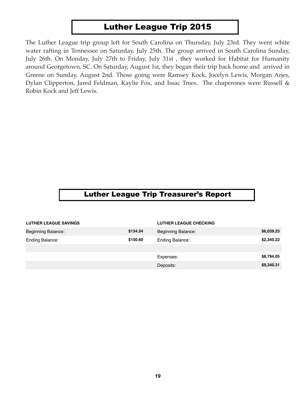#### Luther League Trip 2015

The Luther League trip group left for South Carolina on Thursday, July 23rd. They went white water rafting in Tennessee on Saturday, July 25th. The group arrived in South Carolina Sunday, July 26th. On Monday, July 27th to Friday, July 31st , they worked for Habitat for Humanity around Georgetown, SC. On Saturday, August 1st, they began their trip back home and arrived in Greene on Sunday, August 2nd. Those going were Ramsey Kock, Jocelyn Lewis, Morgan Arjes, Dylan Clipperton, Jared Feldman, Kaylie Fox, and Issac Trees. The chaperones were Russell & Robin Kock and Jeff Lewis.

#### Luther League Trip Treasurer's Report

|                              |          | <b>Trip Account</b>           |            |  |
|------------------------------|----------|-------------------------------|------------|--|
| <b>LUTHER LEAGUE SAVINGS</b> |          | <b>LUTHER LEAGUE CHECKING</b> |            |  |
| Beginning Balance:           | \$134.34 | <b>Beginning Balance:</b>     | \$6,039.23 |  |
| Ending Balance:              | \$150.60 | Ending Balance:               | \$2,340.22 |  |
|                              |          |                               |            |  |
|                              |          | Expenses:                     | \$8,794.05 |  |
|                              |          | Deposits:                     | \$9,340.31 |  |
|                              |          |                               |            |  |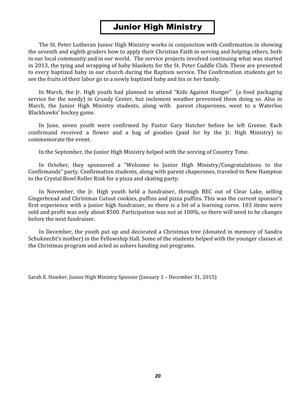#### **Junior High Ministry**

The St. Peter Lutheran Junior High Ministry works in conjunction with Confirmation in showing the seventh and eighth graders how to apply their Christian Faith in serving and helping others, both in our local community and in our world. The service projects involved continuing what was started in 2013, the tying and wrapping of baby blankets for the St. Peter Cuddle Club. These are presented to every baptized baby in our church during the Baptism service. The Confirmation students get to see the fruits of their labor go to a newly baptized baby and his or her family.

In March, the Jr. High youth had planned to attend "Kids Against Hunger" (a food packaging service for the needy) in Grundy Center, but inclement weather prevented them doing so. Also in March, the Junior High Ministry students, along with parent chaperones, went to a Waterloo Blackhawks' hockey game.

In June, seven youth were confirmed by Pastor Gary Hatcher before he left Greene. Each confirmand received a flower and a bag of goodies (paid for by the Jr. High Ministry) to commemorate the event.

In the September, the Junior High Ministry helped with the serving of Country Time.

In October, they sponsored a "Welcome to Junior High Ministry/Congratulations to the Confirmands" party. Confirmation students, along with parent chaperones, traveled to New Hampton to the Crystal Bowl Roller Rink for a pizza and skating party.

In November, the Jr. High youth held a fundraiser, through BEC out of Clear Lake, selling Gingerbread and Christmas Cutout cookies, puffins and pizza puffins. This was the current sponsor's first experience with a junior high fundraiser, so there is a bit of a learning curve. 103 items were sold and profit was only about \$500. Participation was not at 100%, so there will need to be changes before the next fundraiser.

In December, the youth put up and decorated a Christmas tree (donated in memory of Sandra Schuknecht's mother) in the Fellowship Hall. Some of the students helped with the younger classes at the Christmas program and acted as ushers handing out programs.

Sarah E. Hawker, Junior High Ministry Sponsor (January 1 - December 31, 2015)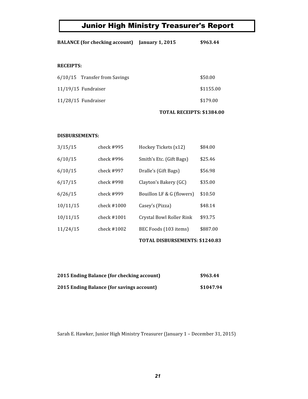# Junior High Ministry Treasurer's Report

| <b>BALANCE</b> (for checking account) | <b>January 1, 2015</b>    | \$963.44  |
|---------------------------------------|---------------------------|-----------|
|                                       |                           |           |
| <b>RECEIPTS:</b>                      |                           |           |
| $6/10/15$ Transfer from Savings       |                           | \$50.00   |
| $11/19/15$ Fundraiser                 |                           | \$1155.00 |
| $11/28/15$ Fundraiser                 |                           | \$179.00  |
|                                       | TOTAL RECEIPTS: \$1384.00 |           |

#### **DISBURSEMENTS:**

|          |               | TOTAL DISBURSEMENTS: \$1240.83 |          |
|----------|---------------|--------------------------------|----------|
| 11/24/15 | check $#1002$ | BEC Foods (103 items)          | \$887.00 |
| 10/11/15 | check #1001   | Crystal Bowl Roller Rink       | \$93.75  |
| 10/11/15 | check $#1000$ | Casey's (Pizza)                | \$48.14  |
| 6/26/15  | check #999    | Bouillon LF & G (flowers)      | \$10.50  |
| 6/17/15  | check #998    | Clayton's Bakery (GC)          | \$35.00  |
| 6/10/15  | check #997    | Dralle's (Gift Bags)           | \$56.98  |
| 6/10/15  | check #996    | Smith's Etc. (Gift Bags)       | \$25.46  |
| 3/15/15  | check $\#995$ | Hockey Tickets (x12)           | \$84.00  |

| 2015 Ending Balance (for checking account) | \$963.44  |
|--------------------------------------------|-----------|
| 2015 Ending Balance (for savings account)  | \$1047.94 |

Sarah E. Hawker, Junior High Ministry Treasurer (January 1 - December 31, 2015)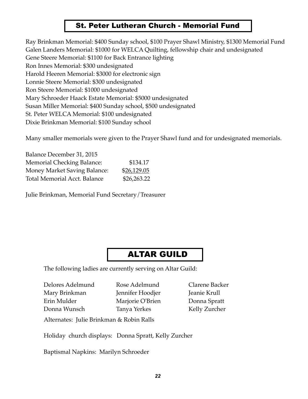#### St. Peter Lutheran Church - Memorial Fund

Ray Brinkman Memorial: \$400 Sunday school, \$100 Prayer Shawl Ministry, \$1300 Memorial Fund Galen Landers Memorial: \$1000 for WELCA Quilting, fellowship chair and undesignated Gene Steere Memorial: \$1100 for Back Entrance lighting Ron Innes Memorial: \$300 undesignated Harold Heeren Memorial: \$3000 for electronic sign Lonnie Steere Memorial: \$300 undesignated Ron Steere Memorial: \$1000 undesignated Mary Schroeder Haack Estate Memorial: \$5000 undesignated Susan Miller Memorial: \$400 Sunday school, \$500 undesignated St. Peter WELCA Memorial: \$100 undesignated Dixie Brinkman Memorial: \$100 Sunday school

Many smaller memorials were given to the Prayer Shawl fund and for undesignated memorials.

| Balance December 31, 2015           |             |
|-------------------------------------|-------------|
| <b>Memorial Checking Balance:</b>   | \$134.17    |
| <b>Money Market Saving Balance:</b> | \$26,129.05 |
| Total Memorial Acct. Balance        | \$26,263.22 |

Julie Brinkman, Memorial Fund Secretary/Treasurer

#### ALTAR GUILD

The following ladies are currently serving on Altar Guild:

Delores Adelmund Rose Adelmund Clarene Backer Mary Brinkman Jennifer Hoodjer Jeanie Krull Erin Mulder Marjorie O'Brien Donna Spratt Donna Wunsch Tanya Yerkes Kelly Zurcher

Alternates: Julie Brinkman & Robin Ralls

Holiday church displays: Donna Spratt, Kelly Zurcher

Baptismal Napkins: Marilyn Schroeder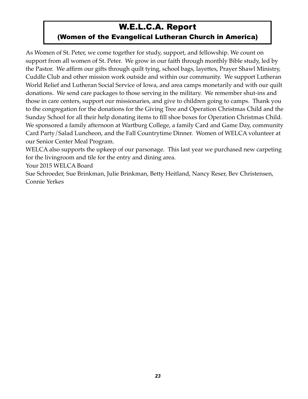# W.E.L.C.A. Report

#### (Women of the Evangelical Lutheran Church in America)

As Women of St. Peter, we come together for study, support, and fellowship. We count on support from all women of St. Peter. We grow in our faith through monthly Bible study, led by the Pastor. We affirm our gifts through quilt tying, school bags, layettes, Prayer Shawl Ministry, Cuddle Club and other mission work outside and within our community. We support Lutheran World Relief and Lutheran Social Service of Iowa, and area camps monetarily and with our quilt donations. We send care packages to those serving in the military. We remember shut-ins and those in care centers, support our missionaries, and give to children going to camps. Thank you to the congregation for the donations for the Giving Tree and Operation Christmas Child and the Sunday School for all their help donating items to fill shoe boxes for Operation Christmas Child. We sponsored a family afternoon at Wartburg College, a family Card and Game Day, community Card Party/Salad Luncheon, and the Fall Countrytime Dinner. Women of WELCA volunteer at our Senior Center Meal Program.

WELCA also supports the upkeep of our parsonage. This last year we purchased new carpeting for the livingroom and tile for the entry and dining area.

Your 2015 WELCA Board

Sue Schroeder, Sue Brinkman, Julie Brinkman, Betty Heitland, Nancy Reser, Bev Christensen, Connie Yerkes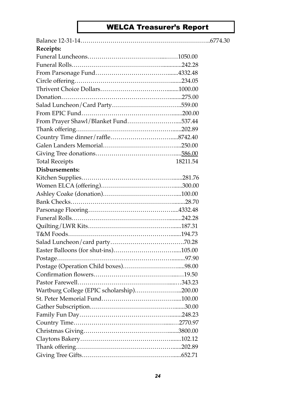# WELCA Treasurer's Report

| Receipts:                                 |          |  |
|-------------------------------------------|----------|--|
|                                           |          |  |
|                                           |          |  |
|                                           |          |  |
|                                           |          |  |
|                                           |          |  |
|                                           |          |  |
|                                           |          |  |
|                                           |          |  |
| From Prayer Shawl/Blanket Fund537.44      |          |  |
|                                           |          |  |
|                                           |          |  |
|                                           |          |  |
|                                           |          |  |
| <b>Total Receipts</b>                     | 18211.54 |  |
| Disbursements:                            |          |  |
|                                           |          |  |
|                                           |          |  |
|                                           |          |  |
|                                           |          |  |
|                                           |          |  |
|                                           |          |  |
|                                           |          |  |
|                                           |          |  |
|                                           |          |  |
|                                           |          |  |
|                                           |          |  |
|                                           |          |  |
|                                           |          |  |
|                                           |          |  |
| Wartburg College (EPIC scholarship)200.00 |          |  |
|                                           |          |  |
|                                           |          |  |
|                                           |          |  |
|                                           |          |  |
|                                           |          |  |
|                                           |          |  |
|                                           |          |  |
|                                           |          |  |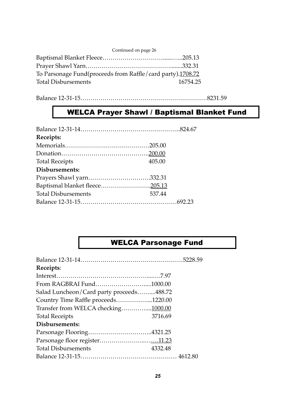| Continued on page 26                                       |          |
|------------------------------------------------------------|----------|
|                                                            |          |
|                                                            |          |
| To Parsonage Fund(proceeds from Raffle/card party).1708.72 |          |
| <b>Total Disbursements</b>                                 | 16754.25 |
|                                                            |          |

Balance 12-31-15………………………………………………………8231.59

# WELCA Prayer Shawl / Baptismal Blanket Fund

| Receipts:                  |        |
|----------------------------|--------|
|                            |        |
|                            |        |
| <b>Total Receipts</b>      | 405.00 |
| Disbursements:             |        |
| Prayers Shawl yarn332.31   |        |
|                            |        |
| <b>Total Disbursements</b> | 537.44 |
|                            |        |

# WELCA Parsonage Fund

| Receipts:                                |         |
|------------------------------------------|---------|
|                                          |         |
| From RAGBRAI Fund1000.00                 |         |
| Salad Luncheon/Card party proceeds488.72 |         |
| Country Time Raffle proceeds1220.00      |         |
| Transfer from WELCA checking1000.00      |         |
| <b>Total Receipts</b>                    | 3716.69 |
| Disbursements:                           |         |
| Parsonage Flooring4321.25                |         |
|                                          |         |
| <b>Total Disbursements</b>               | 4332.48 |
|                                          |         |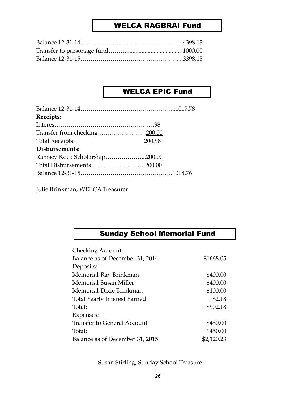#### WELCA RAGBRAI Fund

#### WELCA EPIC Fund

| Receipts:                    |        |
|------------------------------|--------|
|                              |        |
| Transfer from checking200.00 |        |
| <b>Total Receipts</b>        | 200.98 |
| Disbursements:               |        |
|                              |        |
| Total Disbursements200.00    |        |
|                              |        |

Julie Brinkman, WELCA Treasurer

# Sunday School Memorial Fund

| Checking Account                   |            |
|------------------------------------|------------|
| Balance as of December 31, 2014    | \$1668.05  |
| Deposits:                          |            |
| Memorial-Ray Brinkman              | \$400.00   |
| Memorial-Susan Miller              | \$400.00   |
| Memorial-Dixie Brinkman            | \$100.00   |
| Total Yearly Interest Earned       | \$2.18     |
| Total:                             | \$902.18   |
| Expenses:                          |            |
| <b>Transfer to General Account</b> | \$450.00   |
| Total:                             | \$450.00   |
| Balance as of December 31, 2015    | \$2,120.23 |

Susan Stirling, Sunday School Treasurer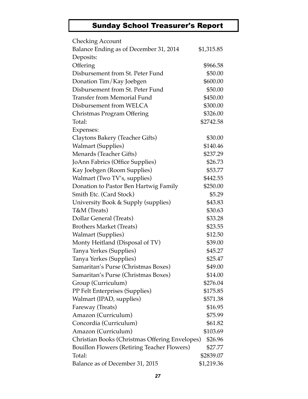# Sunday School Treasurer's Report

| <b>Checking Account</b>                            |            |
|----------------------------------------------------|------------|
| Balance Ending as of December 31, 2014             | \$1,315.85 |
| Deposits:                                          |            |
| Offering                                           | \$966.58   |
| Disbursement from St. Peter Fund                   | \$50.00    |
| Donation Tim/Kay Joebgen                           | \$600.00   |
| Disbursement from St. Peter Fund                   | \$50.00    |
| <b>Transfer from Memorial Fund</b>                 | \$450.00   |
| Disbursement from WELCA                            | \$300.00   |
| Christmas Program Offering                         | \$326.00   |
| Total:                                             | \$2742.58  |
| Expenses:                                          |            |
| Claytons Bakery (Teacher Gifts)                    | \$30.00    |
| <b>Walmart (Supplies)</b>                          | \$140.46   |
| Menards (Teacher Gifts)                            | \$237.29   |
| JoAnn Fabrics (Office Supplies)                    | \$26.73    |
| Kay Joebgen (Room Supplies)                        | \$53.77    |
| Walmart (Two TV's, supplies)                       | \$442.55   |
| Donation to Pastor Ben Hartwig Family              | \$250.00   |
| Smith Etc. (Card Stock)                            | \$5.29     |
| University Book & Supply (supplies)                | \$43.83    |
| T&M (Treats)                                       | \$30.63    |
| Dollar General (Treats)                            | \$33.28    |
| <b>Brothers Market (Treats)</b>                    | \$23.55    |
| <b>Walmart (Supplies)</b>                          | \$12.50    |
| Monty Heitland (Disposal of TV)                    | \$39.00    |
| Tanya Yerkes (Supplies)                            | \$45.27    |
| Tanya Yerkes (Supplies)                            | \$25.47    |
| Samaritan's Purse (Christmas Boxes)                | \$49.00    |
| Samaritan's Purse (Christmas Boxes)                | \$14.00    |
| Group (Curriculum)                                 | \$276.04   |
| PP Felt Enterprises (Supplies)                     | \$175.85   |
| Walmart (IPAD, supplies)                           | \$571.38   |
| Fareway (Treats)                                   | \$16.95    |
| Amazon (Curriculum)                                | \$75.99    |
| Concordia (Curriculum)                             | \$61.82    |
| Amazon (Curriculum)                                | \$103.69   |
| Christian Books (Christmas Offering Envelopes)     | \$26.96    |
| <b>Bouillon Flowers (Retiring Teacher Flowers)</b> | \$27.77    |
| Total:                                             | \$2839.07  |
| Balance as of December 31, 2015                    | \$1,219.36 |